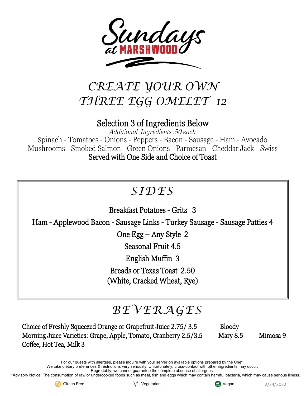

## *CREATE YOUR OWN THREE EGG OMELET 12*

### Selection 3 of Ingredients Below

*Additional Ingredients .50 each*  Spinach - Tomatoes - Onions - Peppers - Bacon - Sausage - Ham - Avocado Mushrooms - Smoked Salmon - Green Onions - Parmesan - Cheddar Jack - Swiss Served with One Side and Choice of Toast

## *SIDES*

Breakfast Potatoes - Grits 3

Ham - Applewood Bacon - Sausage Links - Turkey Sausage - Sausage Patties 4

One Egg – Any Style 2

Seasonal Fruit 4.5

English Muffin 3

Breads or Texas Toast 2.50 (White, Cracked Wheat, Rye)

# *BEVERAGES*

Choice of Freshly Squeezed Orange or Grapefruit Juice 2.75/3.5 Bloody Morning Juice Varieties: Grape, Apple, Tomato, Cranberry 2.5/3.5 Mary 8.5 Mimosa 9 Coffee, Hot Tea, Milk 3

For our guests with allergies, please inquire with your server on available options prepared by the Chef. We take dietary preferences & restrictions very seriously. Unfortunately, cross-contact with other ingredients may occur.

Regrettably, we cannot guarantee the complete absence of allergens.

\*Advisory Notice: The consumption of raw or undercooked foods such as meat, fish and eggs which may contain harmful bacteria, which may cause serious illness.